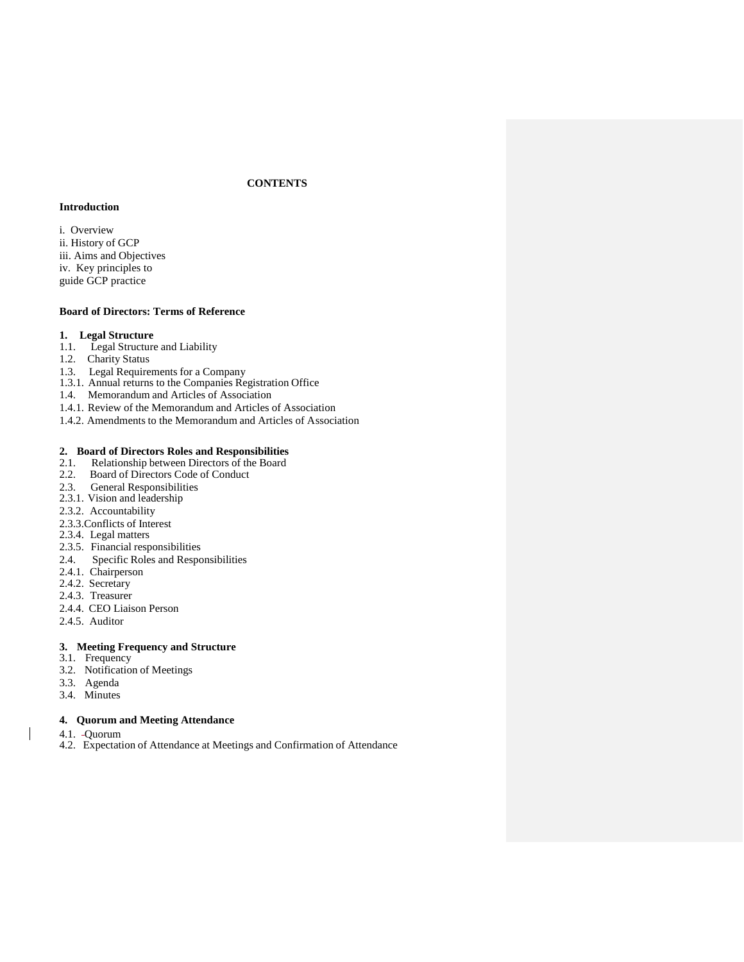# **CONTENTS**

# **Introduction**

i. Overview ii. History of GCP iii. Aims and Objectives iv. Key principles to guide GCP practice

## **Board of Directors: Terms of Reference**

# **1. Legal Structure**

- 1.1. Legal Structure and Liability
- 1.2. Charity Status
- 1.3. Legal Requirements for a Company
- 1.3.1. Annual returns to the Companies Registration Office
- 1.4. Memorandum and Articles of Association
- 1.4.1. Review of the Memorandum and Articles of Association
- 1.4.2. Amendments to the Memorandum and Articles of Association

#### **2. Board of Directors Roles and Responsibilities**

- 2.1. Relationship between Directors of the Board
- 2.2. Board of Directors Code of Conduct
- 2.3. General Responsibilities
- 2.3.1. Vision and leadership
- 2.3.2. Accountability
- 2.3.3.Conflicts of Interest
- 2.3.4. Legal matters
- 2.3.5. Financial responsibilities
- 2.4. Specific Roles and Responsibilities
- 2.4.1. Chairperson
- 2.4.2. Secretary
- 2.4.3. Treasurer
- 2.4.4. CEO Liaison Person
- 2.4.5. Auditor

#### **3. Meeting Frequency and Structure**

- 3.1. Frequency
- 3.2. Notification of Meetings
- 3.3. Agenda
- 3.4. Minutes

# **4. Quorum and Meeting Attendance**

- 4.1. Quorum
- 4.2. Expectation of Attendance at Meetings and Confirmation of Attendance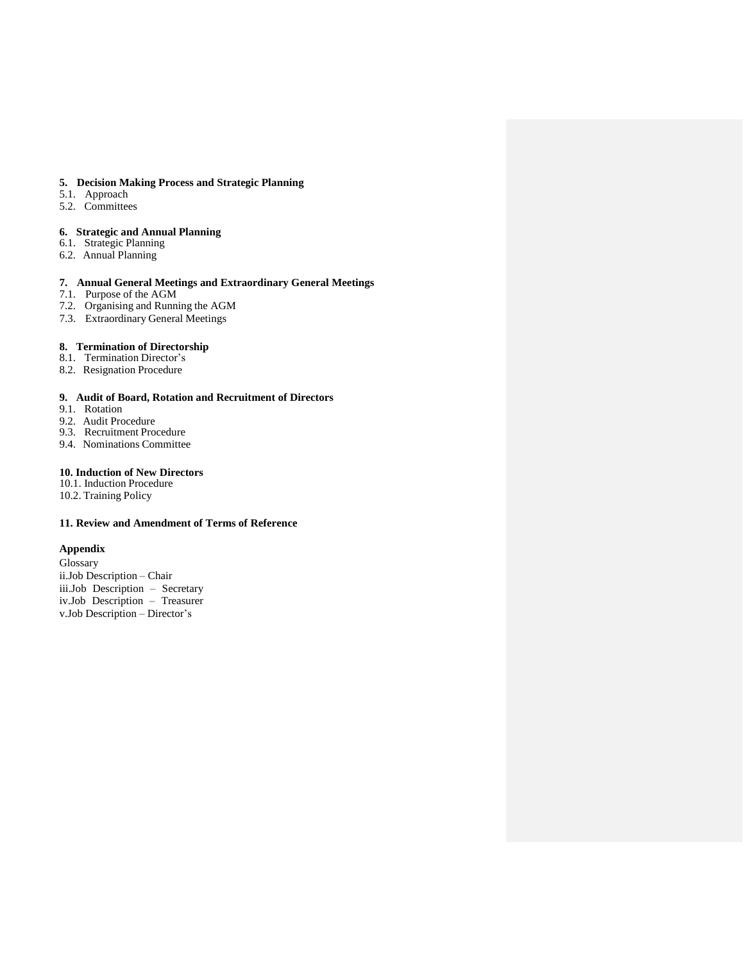#### **5. Decision Making Process and Strategic Planning**

- 5.1. Approach
- 5.2. Committees

# **6. Strategic and Annual Planning**

- 6.1. Strategic Planning
- 6.2. Annual Planning

# **7. Annual General Meetings and Extraordinary General Meetings**

- 7.1. Purpose of the AGM
- 7.2. Organising and Running the AGM
- 7.3. Extraordinary General Meetings

## **8. Termination of Directorship**

- 8.1. Termination Director's
- 8.2. Resignation Procedure

## **9. Audit of Board, Rotation and Recruitment of Directors**

- 9.1. Rotation
- 9.2. Audit Procedure
- 9.3. Recruitment Procedure
- 9.4. Nominations Committee

# **10. Induction of New Directors**

- 10.1. Induction Procedure
- 10.2. Training Policy

# **11. Review and Amendment of Terms of Reference**

# **Appendix**

Glossary ii.Job Description – Chair iii.Job Description – Secretary iv.Job Description – Treasurer v.Job Description – Director's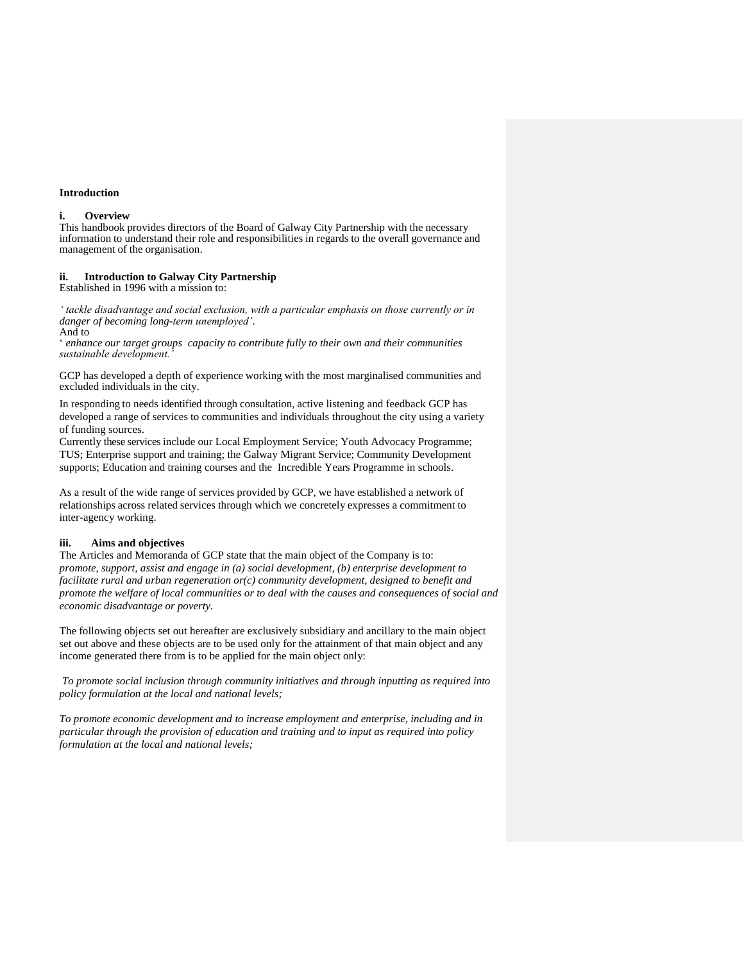#### **Introduction**

#### **i. Overview**

This handbook provides directors of the Board of Galway City Partnership with the necessary information to understand their role and responsibilities in regards to the overall governance and management of the organisation.

## **ii. Introduction to Galway City Partnership**

Established in 1996 with a mission to:

*' tackle disadvantage and social exclusion, with a particular emphasis on those currently or in danger of becoming long-term unemployed'*. And to

' *enhance our target groups capacity to contribute fully to their own and their communities sustainable development.'*

GCP has developed a depth of experience working with the most marginalised communities and excluded individuals in the city.

In responding to needs identified through consultation, active listening and feedback GCP has developed a range of services to communities and individuals throughout the city using a variety of funding sources.

Currently these services include our Local Employment Service; Youth Advocacy Programme; TUS; Enterprise support and training; the Galway Migrant Service; Community Development supports; Education and training courses and the Incredible Years Programme in schools.

As a result of the wide range of services provided by GCP, we have established a network of relationships across related services through which we concretely expresses a commitment to inter-agency working.

# **iii. Aims and objectives**

The Articles and Memoranda of GCP state that the main object of the Company is to: *promote, support, assist and engage in (a) social development, (b) enterprise development to facilitate rural and urban regeneration or(c) community development, designed to benefit and promote the welfare of local communities or to deal with the causes and consequences of social and economic disadvantage or poverty.*

The following objects set out hereafter are exclusively subsidiary and ancillary to the main object set out above and these objects are to be used only for the attainment of that main object and any income generated there from is to be applied for the main object only:

*To promote social inclusion through community initiatives and through inputting as required into policy formulation at the local and national levels;*

*To promote economic development and to increase employment and enterprise, including and in particular through the provision of education and training and to input as required into policy formulation at the local and national levels;*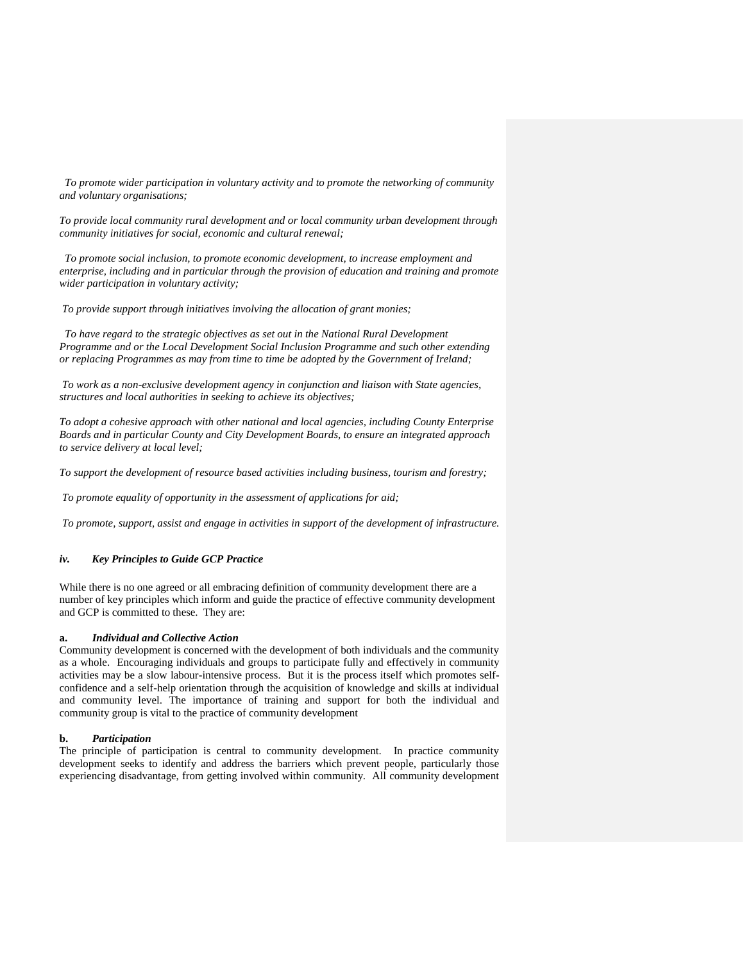*To promote wider participation in voluntary activity and to promote the networking of community and voluntary organisations;*

*To provide local community rural development and or local community urban development through community initiatives for social, economic and cultural renewal;*

 *To promote social inclusion, to promote economic development, to increase employment and enterprise, including and in particular through the provision of education and training and promote wider participation in voluntary activity;*

*To provide support through initiatives involving the allocation of grant monies;*

 *To have regard to the strategic objectives as set out in the National Rural Development Programme and or the Local Development Social Inclusion Programme and such other extending or replacing Programmes as may from time to time be adopted by the Government of Ireland;*

*To work as a non-exclusive development agency in conjunction and liaison with State agencies, structures and local authorities in seeking to achieve its objectives;*

*To adopt a cohesive approach with other national and local agencies, including County Enterprise Boards and in particular County and City Development Boards, to ensure an integrated approach to service delivery at local level;*

*To support the development of resource based activities including business, tourism and forestry;*

*To promote equality of opportunity in the assessment of applications for aid;*

*To promote, support, assist and engage in activities in support of the development of infrastructure.*

# *iv. Key Principles to Guide GCP Practice*

While there is no one agreed or all embracing definition of community development there are a number of key principles which inform and guide the practice of effective community development and GCP is committed to these. They are:

#### **a.** *Individual and Collective Action*

Community development is concerned with the development of both individuals and the community as a whole. Encouraging individuals and groups to participate fully and effectively in community activities may be a slow labour-intensive process. But it is the process itself which promotes selfconfidence and a self-help orientation through the acquisition of knowledge and skills at individual and community level. The importance of training and support for both the individual and community group is vital to the practice of community development

#### **b.** *Participation*

The principle of participation is central to community development. In practice community development seeks to identify and address the barriers which prevent people, particularly those experiencing disadvantage, from getting involved within community. All community development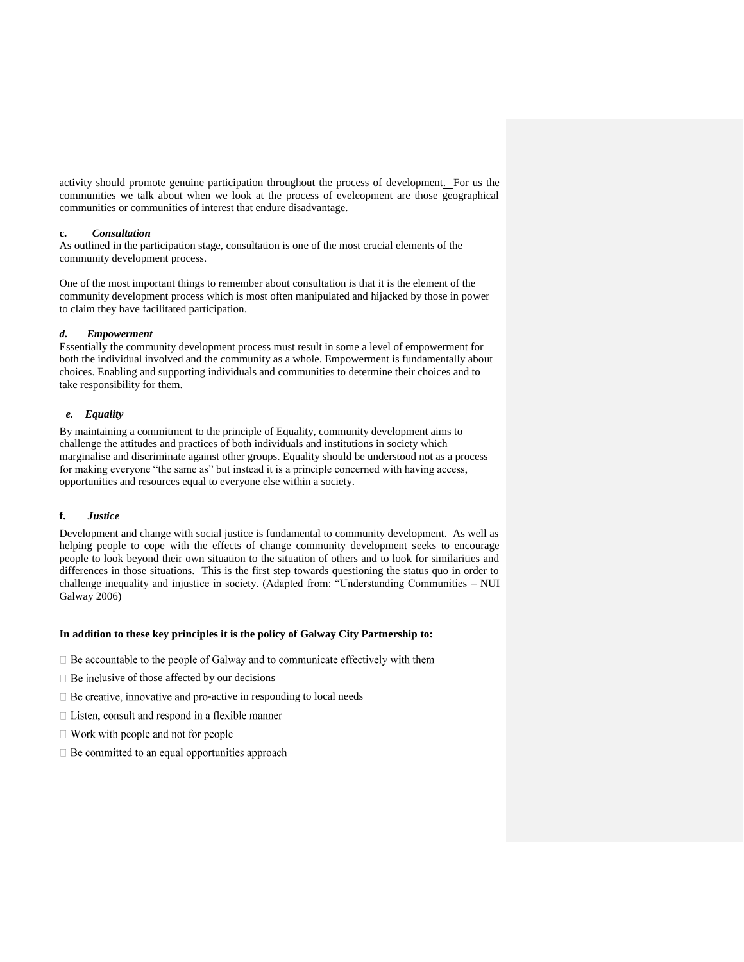activity should promote genuine participation throughout the process of development. For us the communities we talk about when we look at the process of eveleopment are those geographical communities or communities of interest that endure disadvantage.

## **c.** *Consultation*

As outlined in the participation stage, consultation is one of the most crucial elements of the community development process.

One of the most important things to remember about consultation is that it is the element of the community development process which is most often manipulated and hijacked by those in power to claim they have facilitated participation.

## *d. Empowerment*

Essentially the community development process must result in some a level of empowerment for both the individual involved and the community as a whole. Empowerment is fundamentally about choices. Enabling and supporting individuals and communities to determine their choices and to take responsibility for them.

# *e. Equality*

By maintaining a commitment to the principle of Equality, community development aims to challenge the attitudes and practices of both individuals and institutions in society which marginalise and discriminate against other groups. Equality should be understood not as a process for making everyone "the same as" but instead it is a principle concerned with having access, opportunities and resources equal to everyone else within a society.

## **f.** *Justice*

Development and change with social justice is fundamental to community development. As well as helping people to cope with the effects of change community development seeks to encourage people to look beyond their own situation to the situation of others and to look for similarities and differences in those situations. This is the first step towards questioning the status quo in order to challenge inequality and injustice in society. (Adapted from: "Understanding Communities – NUI Galway 2006)

#### **In addition to these key principles it is the policy of Galway City Partnership to:**

- $\Box$  Be accountable to the people of Galway and to communicate effectively with them
- $\Box$  Be inclusive of those affected by our decisions
- $\Box$  Be creative, innovative and pro-active in responding to local needs
- $\Box$  Listen, consult and respond in a flexible manner
- $\Box$  Work with people and not for people
- $\Box$  Be committed to an equal opportunities approach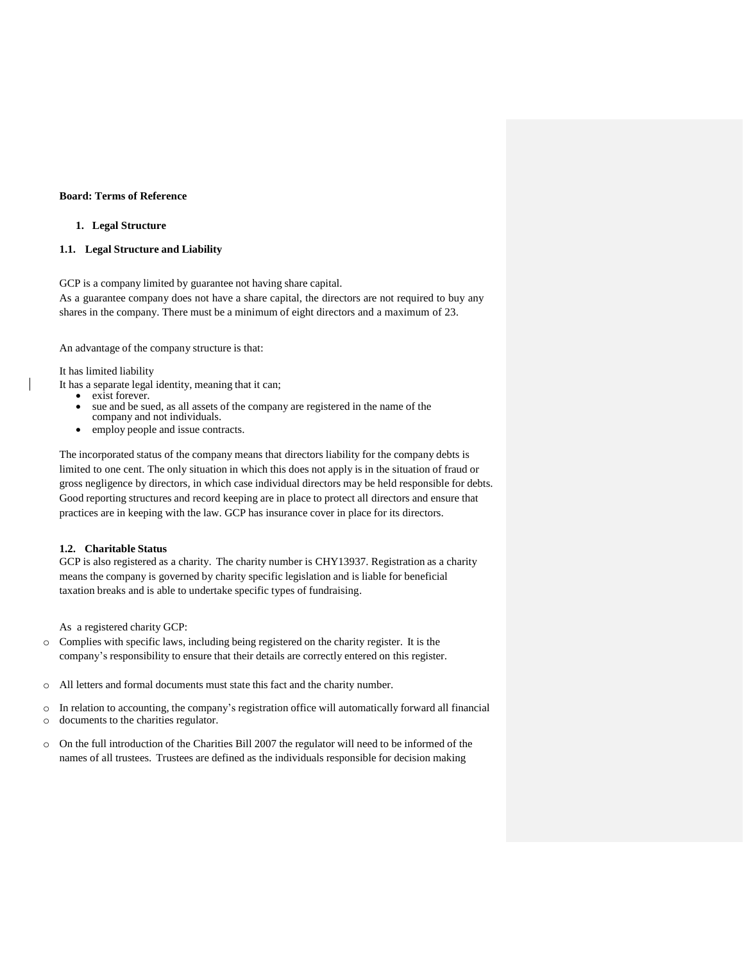# **Board: Terms of Reference**

## **1. Legal Structure**

#### **1.1. Legal Structure and Liability**

GCP is a company limited by guarantee not having share capital.

As a guarantee company does not have a share capital, the directors are not required to buy any shares in the company. There must be a minimum of eight directors and a maximum of 23.

An advantage of the company structure is that:

It has limited liability

- It has a separate legal identity, meaning that it can;
	- exist forever.
	- sue and be sued, as all assets of the company are registered in the name of the company and not individuals.
	- employ people and issue contracts.

The incorporated status of the company means that directors liability for the company debts is limited to one cent. The only situation in which this does not apply is in the situation of fraud or gross negligence by directors, in which case individual directors may be held responsible for debts. Good reporting structures and record keeping are in place to protect all directors and ensure that practices are in keeping with the law. GCP has insurance cover in place for its directors.

# **1.2. Charitable Status**

GCP is also registered as a charity. The charity number is CHY13937. Registration as a charity means the company is governed by charity specific legislation and is liable for beneficial taxation breaks and is able to undertake specific types of fundraising.

As a registered charity GCP:

- o Complies with specific laws, including being registered on the charity register. It is the company's responsibility to ensure that their details are correctly entered on this register.
- o All letters and formal documents must state this fact and the charity number.
- o In relation to accounting, the company's registration office will automatically forward all financial o documents to the charities regulator.
- $\circ$  On the full introduction of the Charities Bill 2007 the regulator will need to be informed of the names of all trustees. Trustees are defined as the individuals responsible for decision making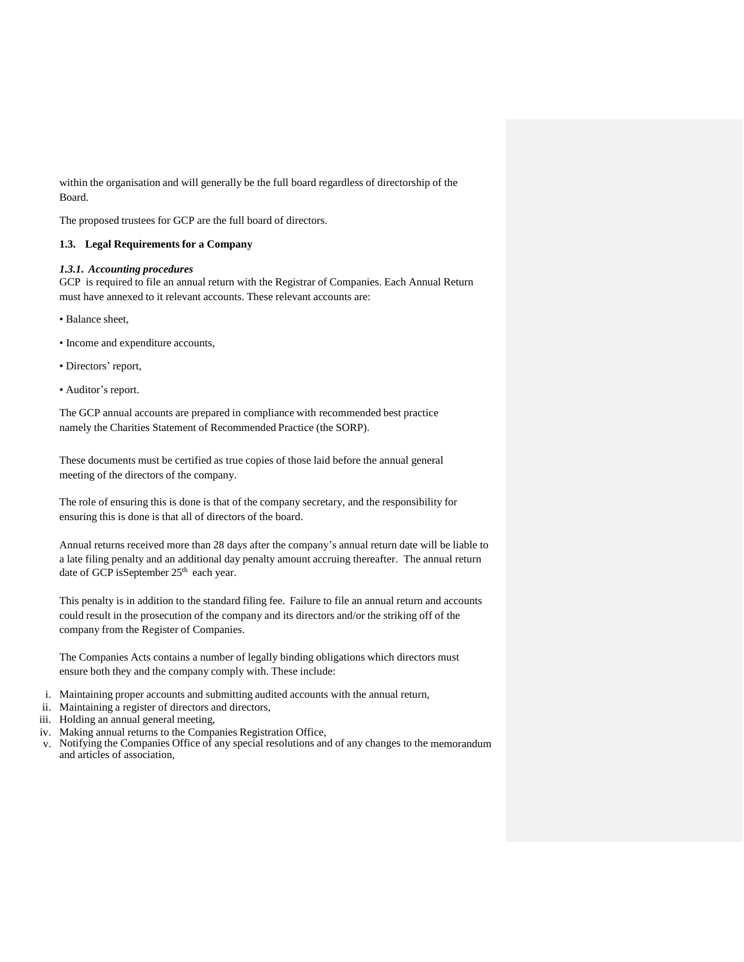within the organisation and will generally be the full board regardless of directorship of the Board.

The proposed trustees for GCP are the full board of directors.

# **1.3. Legal Requirements for a Company**

# *1.3.1. Accounting procedures*

GCP is required to file an annual return with the Registrar of Companies. Each Annual Return must have annexed to it relevant accounts. These relevant accounts are:

- Balance sheet,
- Income and expenditure accounts,
- Directors' report,
- Auditor's report.

The GCP annual accounts are prepared in compliance with recommended best practice namely the Charities Statement of Recommended Practice (the SORP).

These documents must be certified as true copies of those laid before the annual general meeting of the directors of the company.

The role of ensuring this is done is that of the company secretary, and the responsibility for ensuring this is done is that all of directors of the board.

Annual returns received more than 28 days after the company's annual return date will be liable to a late filing penalty and an additional day penalty amount accruing thereafter. The annual return date of GCP isSeptember 25<sup>th</sup> each year.

This penalty is in addition to the standard filing fee. Failure to file an annual return and accounts could result in the prosecution of the company and its directors and/or the striking off of the company from the Register of Companies.

The Companies Acts contains a number of legally binding obligations which directors must ensure both they and the company comply with. These include:

- i. Maintaining proper accounts and submitting audited accounts with the annual return,
- ii. Maintaining a register of directors and directors,
- iii. Holding an annual general meeting,
- iv. Making annual returns to the Companies Registration Office,
- v. Notifying the Companies Office of any special resolutions and of any changes to the memorandum and articles of association,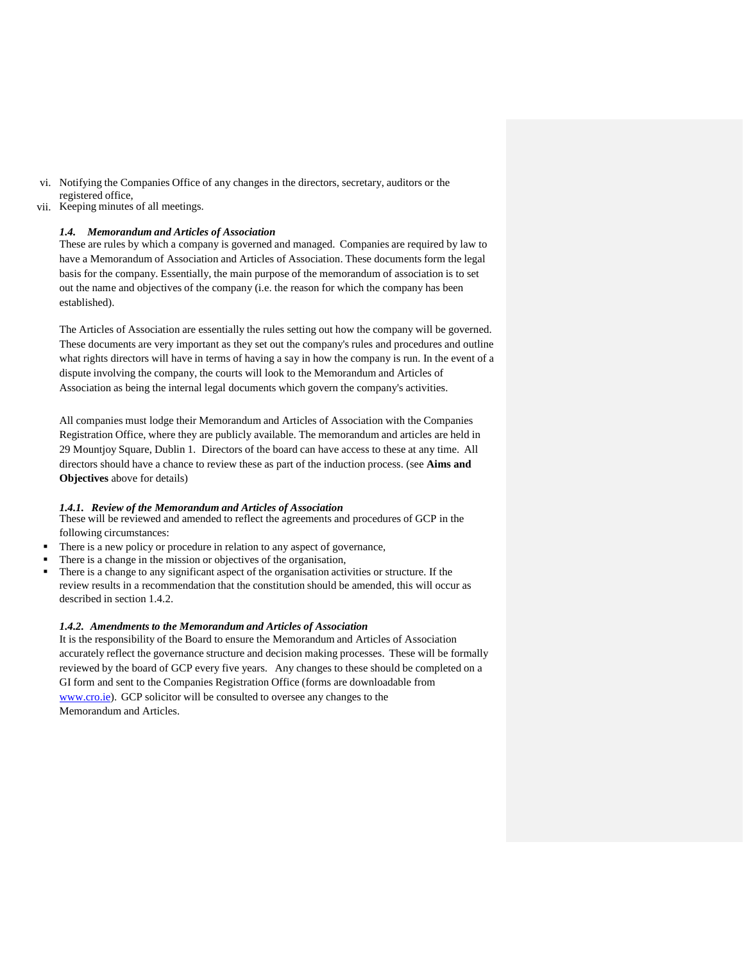- vi. Notifying the Companies Office of any changes in the directors, secretary, auditors or the registered office,
- vii. Keeping minutes of all meetings.

# *1.4. Memorandum and Articles of Association*

These are rules by which a company is governed and managed. Companies are required by law to have a Memorandum of Association and Articles of Association. These documents form the legal basis for the company. Essentially, the main purpose of the memorandum of association is to set out the name and objectives of the company (i.e. the reason for which the company has been established).

The Articles of Association are essentially the rules setting out how the company will be governed. These documents are very important as they set out the company's rules and procedures and outline what rights directors will have in terms of having a say in how the company is run. In the event of a dispute involving the company, the courts will look to the Memorandum and Articles of Association as being the internal legal documents which govern the company's activities.

All companies must lodge their Memorandum and Articles of Association with the Companies Registration Office, where they are publicly available. The memorandum and articles are held in 29 Mountjoy Square, Dublin 1. Directors of the board can have access to these at any time. All directors should have a chance to review these as part of the induction process. (see **Aims and Objectives** above for details)

## *1.4.1. Review of the Memorandum and Articles of Association*

These will be reviewed and amended to reflect the agreements and procedures of GCP in the following circumstances:

- There is a new policy or procedure in relation to any aspect of governance,
- There is a change in the mission or objectives of the organisation,
- There is a change to any significant aspect of the organisation activities or structure. If the review results in a recommendation that the constitution should be amended, this will occur as described in section 1.4.2.

## *1.4.2. Amendments to the Memorandum and Articles of Association*

It is the responsibility of the Board to ensure the Memorandum and Articles of Association accurately reflect the governance structure and decision making processes. These will be formally reviewed by the board of GCP every five years. Any changes to these should be completed on a GI form and sent to the Companies Registration Office (forms are downloadable from [www.cro.ie\).](http://www.cro.ie/) GCP solicitor will be consulted to oversee any changes to the Memorandum and Articles.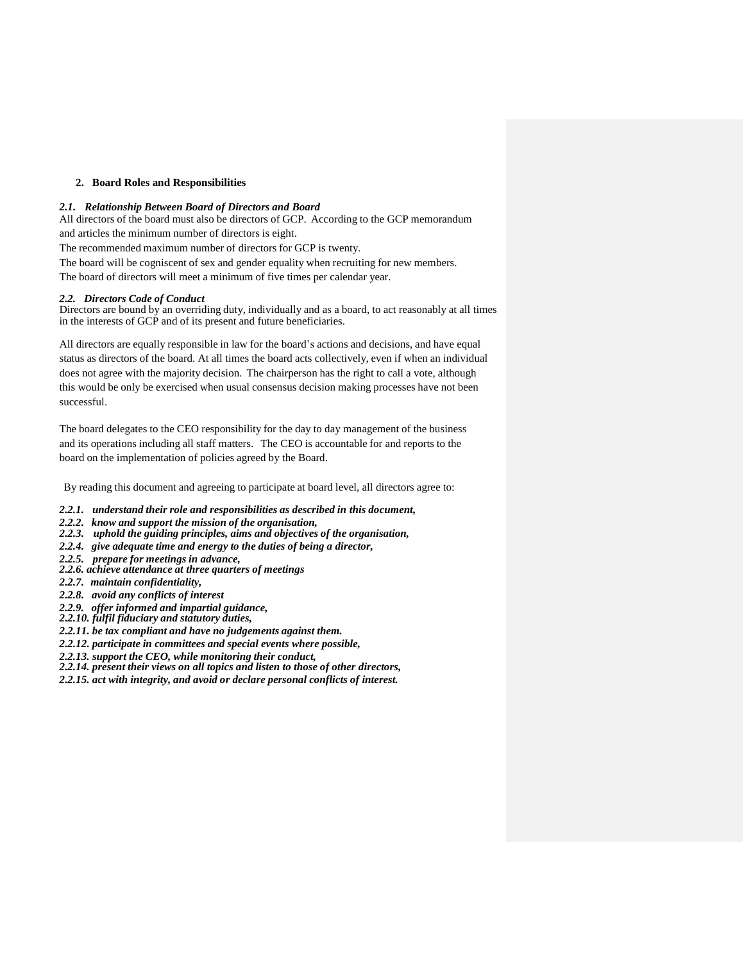# **2. Board Roles and Responsibilities**

## *2.1. Relationship Between Board of Directors and Board*

All directors of the board must also be directors of GCP. According to the GCP memorandum and articles the minimum number of directors is eight.

The recommended maximum number of directors for GCP is twenty.

The board will be cogniscent of sex and gender equality when recruiting for new members.

The board of directors will meet a minimum of five times per calendar year.

## *2.2. Directors Code of Conduct*

Directors are bound by an overriding duty, individually and as a board, to act reasonably at all times in the interests of GCP and of its present and future beneficiaries.

All directors are equally responsible in law for the board's actions and decisions, and have equal status as directors of the board. At all times the board acts collectively, even if when an individual does not agree with the majority decision. The chairperson has the right to call a vote, although this would be only be exercised when usual consensus decision making processes have not been successful.

The board delegates to the CEO responsibility for the day to day management of the business and its operations including all staff matters. The CEO is accountable for and reports to the board on the implementation of policies agreed by the Board.

By reading this document and agreeing to participate at board level, all directors agree to:

- *2.2.1. understand their role and responsibilities as described in this document,*
- *2.2.2. know and support the mission of the organisation,*
- *2.2.3. uphold the guiding principles, aims and objectives of the organisation,*
- *2.2.4. give adequate time and energy to the duties of being a director,*
- *2.2.5. prepare for meetings in advance,*
- *2.2.6. achieve attendance at three quarters of meetings*
- *2.2.7. maintain confidentiality,*
- *2.2.8. avoid any conflicts of interest*
- *2.2.9. offer informed and impartial guidance,*
- *2.2.10. fulfil fiduciary and statutory duties,*
- *2.2.11. be tax compliant and have no judgements against them.*
- *2.2.12. participate in committees and special events where possible,*
- *2.2.13. support the CEO, while monitoring their conduct,*
- *2.2.14. present their views on all topics and listen to those of other directors,*
- *2.2.15. act with integrity, and avoid or declare personal conflicts of interest.*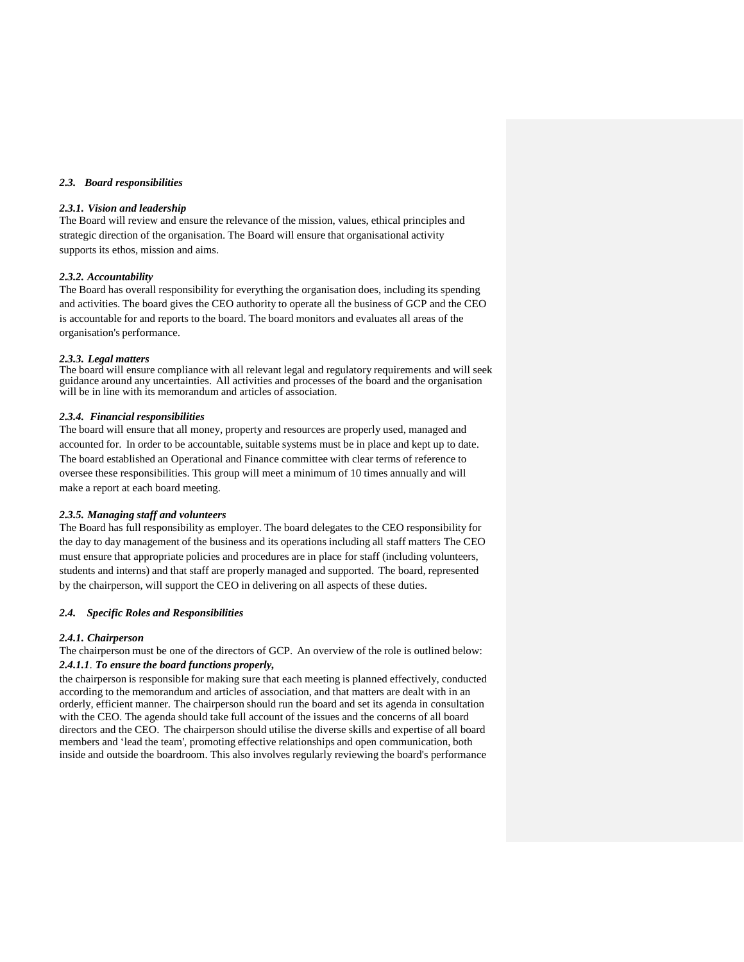## *2.3. Board responsibilities*

#### *2.3.1. Vision and leadership*

The Board will review and ensure the relevance of the mission, values, ethical principles and strategic direction of the organisation. The Board will ensure that organisational activity supports its ethos, mission and aims.

#### *2.3.2. Accountability*

The Board has overall responsibility for everything the organisation does, including its spending and activities. The board gives the CEO authority to operate all the business of GCP and the CEO is accountable for and reports to the board. The board monitors and evaluates all areas of the organisation's performance.

#### *2.3.3. Legal matters*

The board will ensure compliance with all relevant legal and regulatory requirements and will seek guidance around any uncertainties. All activities and processes of the board and the organisation will be in line with its memorandum and articles of association.

#### *2.3.4. Financial responsibilities*

The board will ensure that all money, property and resources are properly used, managed and accounted for. In order to be accountable, suitable systems must be in place and kept up to date. The board established an Operational and Finance committee with clear terms of reference to oversee these responsibilities. This group will meet a minimum of 10 times annually and will make a report at each board meeting.

#### *2.3.5. Managing staff and volunteers*

The Board has full responsibility as employer. The board delegates to the CEO responsibility for the day to day management of the business and its operations including all staff matters The CEO must ensure that appropriate policies and procedures are in place for staff (including volunteers, students and interns) and that staff are properly managed and supported. The board, represented by the chairperson, will support the CEO in delivering on all aspects of these duties.

# *2.4. Specific Roles and Responsibilities*

## *2.4.1. Chairperson*

The chairperson must be one of the directors of GCP. An overview of the role is outlined below: *2.4.1.1*. *To ensure the board functions properly,*

the chairperson is responsible for making sure that each meeting is planned effectively, conducted according to the memorandum and articles of association, and that matters are dealt with in an orderly, efficient manner. The chairperson should run the board and set its agenda in consultation with the CEO. The agenda should take full account of the issues and the concerns of all board directors and the CEO. The chairperson should utilise the diverse skills and expertise of all board members and 'lead the team', promoting effective relationships and open communication, both inside and outside the boardroom. This also involves regularly reviewing the board's performance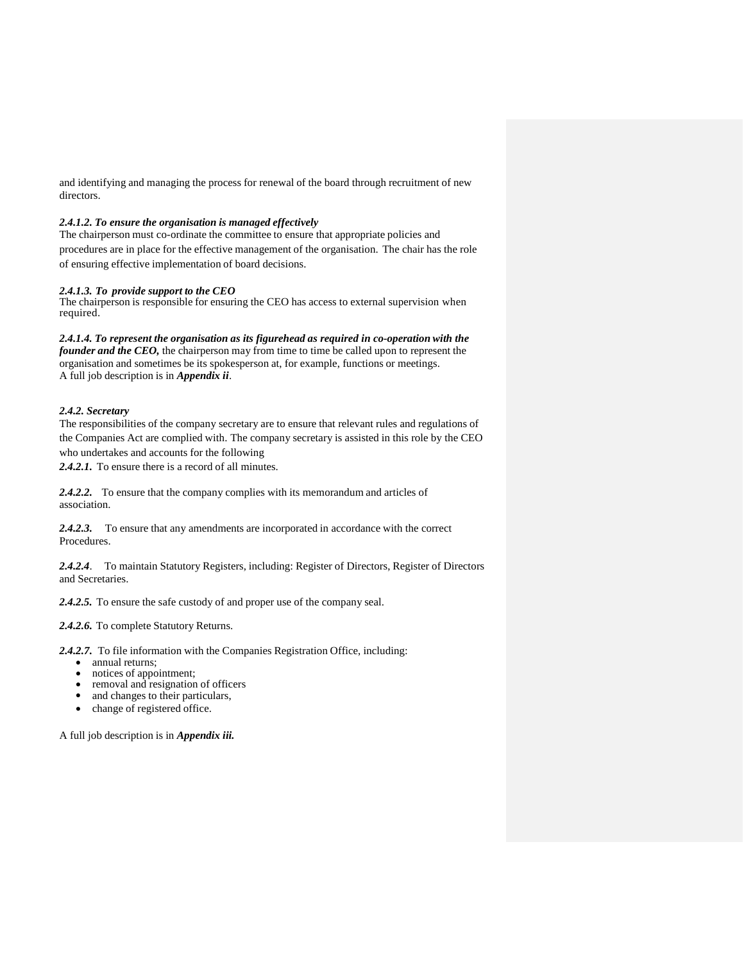and identifying and managing the process for renewal of the board through recruitment of new directors.

# *2.4.1.2. To ensure the organisation is managed effectively*

The chairperson must co-ordinate the committee to ensure that appropriate policies and procedures are in place for the effective management of the organisation. The chair has the role of ensuring effective implementation of board decisions.

# *2.4.1.3. To provide support to the CEO*

The chairperson is responsible for ensuring the CEO has access to external supervision when required.

*2.4.1.4. To represent the organisation as its figurehead as required in co-operation with the founder and the CEO,* the chairperson may from time to time be called upon to represent the organisation and sometimes be its spokesperson at, for example, functions or meetings. A full job description is in *Appendix ii*.

# *2.4.2. Secretary*

The responsibilities of the company secretary are to ensure that relevant rules and regulations of the Companies Act are complied with. The company secretary is assisted in this role by the CEO who undertakes and accounts for the following

*2.4.2.1.* To ensure there is a record of all minutes.

*2.4.2.2.* To ensure that the company complies with its memorandum and articles of association.

*2.4.2.3.* To ensure that any amendments are incorporated in accordance with the correct Procedures.

*2.4.2.4*. To maintain Statutory Registers, including: Register of Directors, Register of Directors and Secretaries.

*2.4.2.5.* To ensure the safe custody of and proper use of the company seal.

*2.4.2.6.* To complete Statutory Returns.

*2.4.2.7.* To file information with the Companies Registration Office, including:

- annual returns;
- notices of appointment;
- removal and resignation of officers
- and changes to their particulars,
- change of registered office.

A full job description is in *Appendix iii.*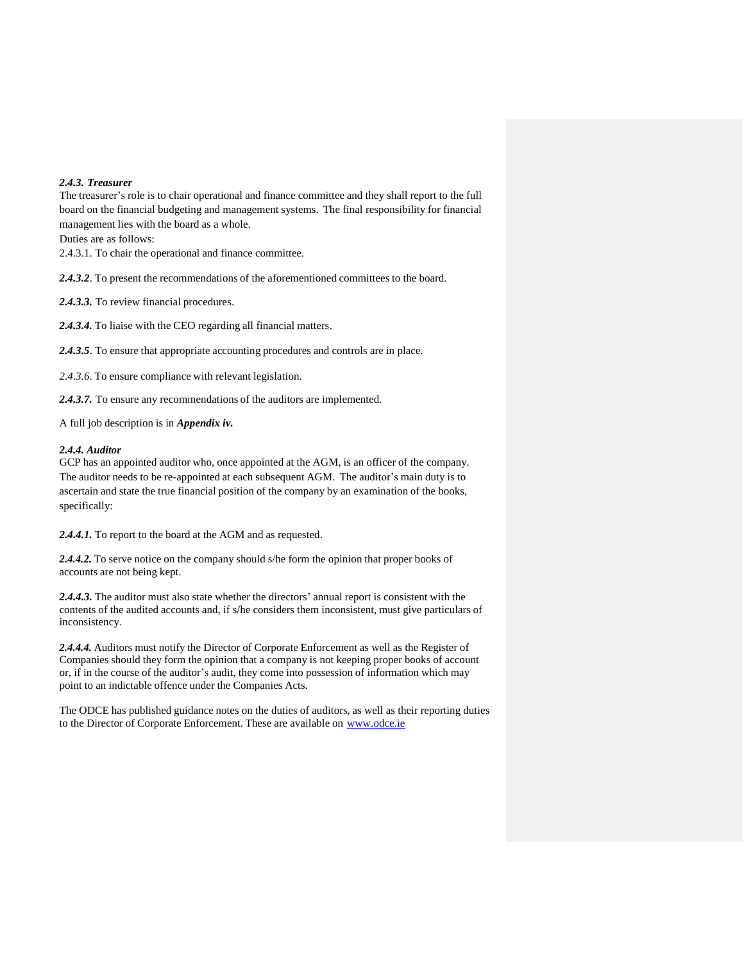## *2.4.3. Treasurer*

The treasurer's role is to chair operational and finance committee and they shall report to the full board on the financial budgeting and management systems. The final responsibility for financial management lies with the board as a whole.

Duties are as follows:

2.4.3.1. To chair the operational and finance committee.

*2.4.3.2*. To present the recommendations of the aforementioned committees to the board.

*2.4.3.3.* To review financial procedures.

*2.4.3.4.* To liaise with the CEO regarding all financial matters.

*2.4.3.5*. To ensure that appropriate accounting procedures and controls are in place.

*2.4.3.6.* To ensure compliance with relevant legislation.

*2.4.3.7.* To ensure any recommendations of the auditors are implemented.

A full job description is in *Appendix iv.*

#### *2.4.4. Auditor*

GCP has an appointed auditor who, once appointed at the AGM, is an officer of the company. The auditor needs to be re-appointed at each subsequent AGM. The auditor's main duty is to ascertain and state the true financial position of the company by an examination of the books, specifically:

*2.4.4.1.* To report to the board at the AGM and as requested.

*2.4.4.2.* To serve notice on the company should s/he form the opinion that proper books of accounts are not being kept.

2.4.4.3. The auditor must also state whether the directors' annual report is consistent with the contents of the audited accounts and, if s/he considers them inconsistent, must give particulars of inconsistency.

*2.4.4.4.* Auditors must notify the Director of Corporate Enforcement as well as the Register of Companies should they form the opinion that a company is not keeping proper books of account or, if in the course of the auditor's audit, they come into possession of information which may point to an indictable offence under the Companies Acts.

The ODCE has published guidance notes on the duties of auditors, as well as their reporting duties to the Director of Corporate Enforcement. These are available on [www.odce.ie](http://www.odce.ie/)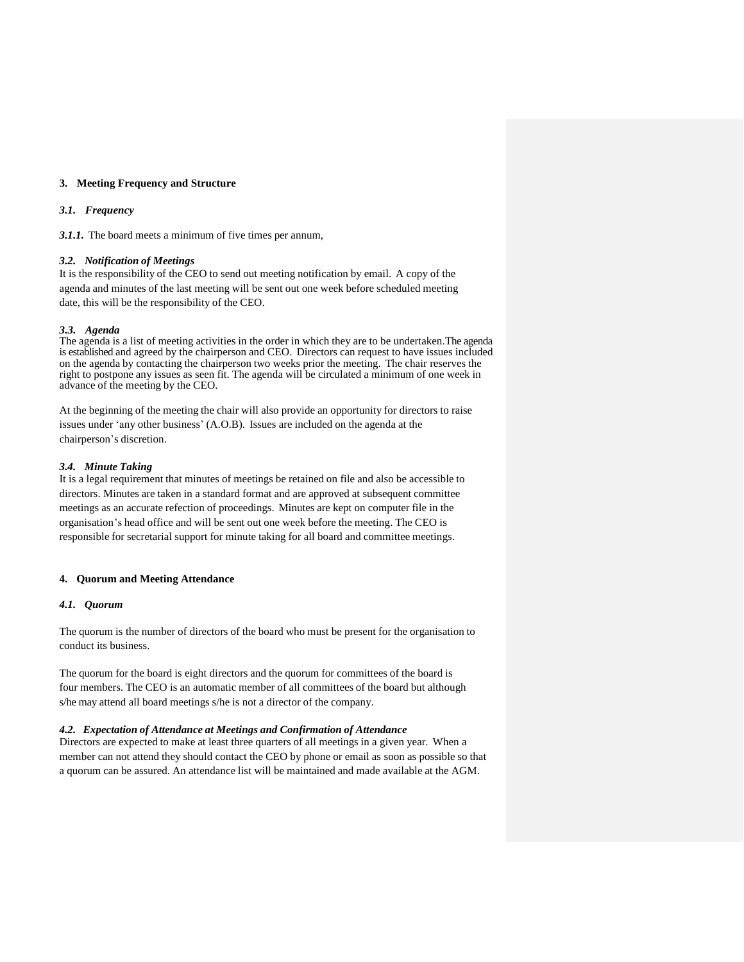## **3. Meeting Frequency and Structure**

#### *3.1. Frequency*

*3.1.1.* The board meets a minimum of five times per annum,

#### *3.2. Notification of Meetings*

It is the responsibility of the CEO to send out meeting notification by email. A copy of the agenda and minutes of the last meeting will be sent out one week before scheduled meeting date, this will be the responsibility of the CEO.

#### *3.3. Agenda*

The agenda is a list of meeting activities in the order in which they are to be undertaken.The agenda is established and agreed by the chairperson and CEO. Directors can request to have issues included on the agenda by contacting the chairperson two weeks prior the meeting. The chair reserves the right to postpone any issues as seen fit. The agenda will be circulated a minimum of one week in advance of the meeting by the CEO.

At the beginning of the meeting the chair will also provide an opportunity for directors to raise issues under 'any other business' (A.O.B). Issues are included on the agenda at the chairperson's discretion.

#### *3.4. Minute Taking*

It is a legal requirement that minutes of meetings be retained on file and also be accessible to directors. Minutes are taken in a standard format and are approved at subsequent committee meetings as an accurate refection of proceedings. Minutes are kept on computer file in the organisation's head office and will be sent out one week before the meeting. The CEO is responsible for secretarial support for minute taking for all board and committee meetings.

## **4. Quorum and Meeting Attendance**

#### *4.1. Quorum*

The quorum is the number of directors of the board who must be present for the organisation to conduct its business.

The quorum for the board is eight directors and the quorum for committees of the board is four members. The CEO is an automatic member of all committees of the board but although s/he may attend all board meetings s/he is not a director of the company.

# *4.2. Expectation of Attendance at Meetings and Confirmation of Attendance*

Directors are expected to make at least three quarters of all meetings in a given year. When a member can not attend they should contact the CEO by phone or email as soon as possible so that a quorum can be assured. An attendance list will be maintained and made available at the AGM.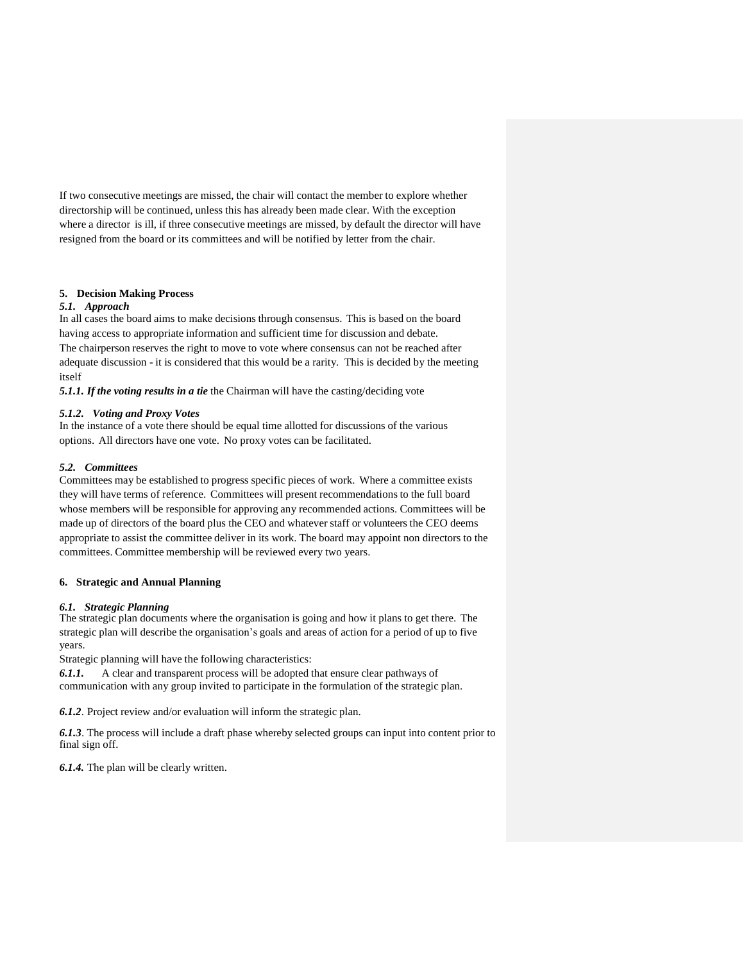If two consecutive meetings are missed, the chair will contact the member to explore whether directorship will be continued, unless this has already been made clear. With the exception where a director is ill, if three consecutive meetings are missed, by default the director will have resigned from the board or its committees and will be notified by letter from the chair.

# **5. Decision Making Process**

# *5.1. Approach*

In all cases the board aims to make decisions through consensus. This is based on the board having access to appropriate information and sufficient time for discussion and debate. The chairperson reserves the right to move to vote where consensus can not be reached after adequate discussion - it is considered that this would be a rarity. This is decided by the meeting itself

*5.1.1. If the voting results in a tie* the Chairman will have the casting/deciding vote

## *5.1.2. Voting and Proxy Votes*

In the instance of a vote there should be equal time allotted for discussions of the various options. All directors have one vote. No proxy votes can be facilitated.

# *5.2. Committees*

Committees may be established to progress specific pieces of work. Where a committee exists they will have terms of reference. Committees will present recommendations to the full board whose members will be responsible for approving any recommended actions. Committees will be made up of directors of the board plus the CEO and whatever staff or volunteers the CEO deems appropriate to assist the committee deliver in its work. The board may appoint non directors to the committees. Committee membership will be reviewed every two years.

## **6. Strategic and Annual Planning**

# *6.1. Strategic Planning*

The strategic plan documents where the organisation is going and how it plans to get there. The strategic plan will describe the organisation's goals and areas of action for a period of up to five years.

Strategic planning will have the following characteristics:

*6.1.1.* A clear and transparent process will be adopted that ensure clear pathways of communication with any group invited to participate in the formulation of the strategic plan.

*6.1.2*. Project review and/or evaluation will inform the strategic plan.

*6.1.3*. The process will include a draft phase whereby selected groups can input into content prior to final sign off.

*6.1.4.* The plan will be clearly written.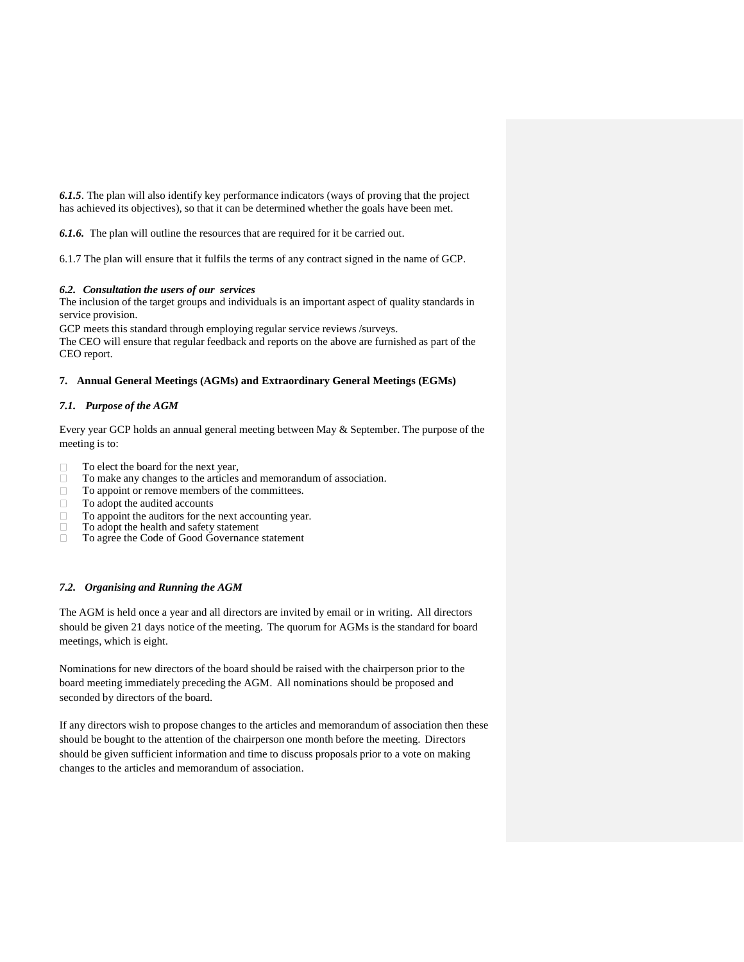*6.1.5*. The plan will also identify key performance indicators (ways of proving that the project has achieved its objectives), so that it can be determined whether the goals have been met.

*6.1.6.* The plan will outline the resources that are required for it be carried out.

6.1.7 The plan will ensure that it fulfils the terms of any contract signed in the name of GCP.

# *6.2. Consultation the users of our services*

The inclusion of the target groups and individuals is an important aspect of quality standards in service provision.

GCP meets this standard through employing regular service reviews /surveys.

The CEO will ensure that regular feedback and reports on the above are furnished as part of the CEO report.

# **7. Annual General Meetings (AGMs) and Extraordinary General Meetings (EGMs)**

# *7.1. Purpose of the AGM*

Every year GCP holds an annual general meeting between May & September. The purpose of the meeting is to:

- To elect the board for the next year,
- $\Box$ To make any changes to the articles and memorandum of association.
- $\Box$ To appoint or remove members of the committees.
- $\Box$ To adopt the audited accounts
- To appoint the auditors for the next accounting year.  $\Box$
- $\bar{a}$ To adopt the health and safety statement
- To agree the Code of Good Governance statement

# *7.2. Organising and Running the AGM*

The AGM is held once a year and all directors are invited by email or in writing. All directors should be given 21 days notice of the meeting. The quorum for AGMs is the standard for board meetings, which is eight.

Nominations for new directors of the board should be raised with the chairperson prior to the board meeting immediately preceding the AGM. All nominations should be proposed and seconded by directors of the board.

If any directors wish to propose changes to the articles and memorandum of association then these should be bought to the attention of the chairperson one month before the meeting. Directors should be given sufficient information and time to discuss proposals prior to a vote on making changes to the articles and memorandum of association.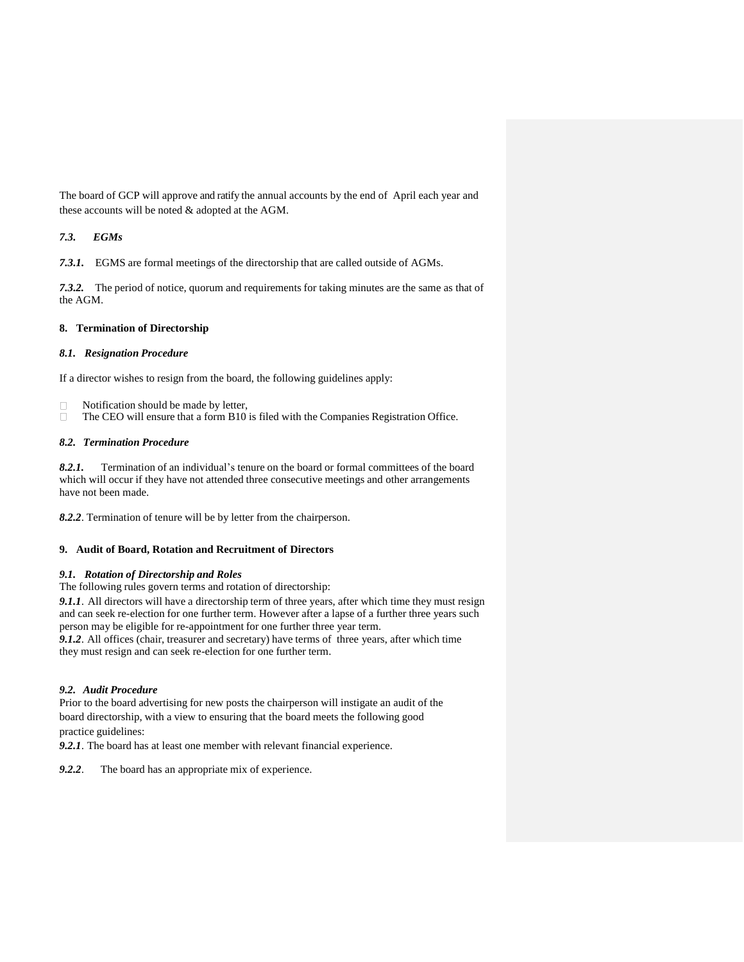The board of GCP will approve and ratify the annual accounts by the end of April each year and these accounts will be noted & adopted at the AGM.

# *7.3. EGMs*

*7.3.1.* EGMS are formal meetings of the directorship that are called outside of AGMs.

*7.3.2.* The period of notice, quorum and requirements for taking minutes are the same as that of the AGM.

# **8. Termination of Directorship**

# *8.1. Resignation Procedure*

If a director wishes to resign from the board, the following guidelines apply:

- Notification should be made by letter,  $\Box$
- The CEO will ensure that a form B10 is filed with the Companies Registration Office.  $\Box$

# *8.2. Termination Procedure*

*8.2.1.* Termination of an individual's tenure on the board or formal committees of the board which will occur if they have not attended three consecutive meetings and other arrangements have not been made.

*8.2.2*. Termination of tenure will be by letter from the chairperson.

## **9. Audit of Board, Rotation and Recruitment of Directors**

## *9.1. Rotation of Directorship and Roles*

The following rules govern terms and rotation of directorship:

*9.1.1*. All directors will have a directorship term of three years, after which time they must resign and can seek re-election for one further term. However after a lapse of a further three years such person may be eligible for re-appointment for one further three year term.

*9.1.2*. All offices (chair, treasurer and secretary) have terms of three years, after which time they must resign and can seek re-election for one further term.

# *9.2. Audit Procedure*

Prior to the board advertising for new posts the chairperson will instigate an audit of the board directorship, with a view to ensuring that the board meets the following good practice guidelines:

*9.2.1*. The board has at least one member with relevant financial experience.

*9.2.2*. The board has an appropriate mix of experience.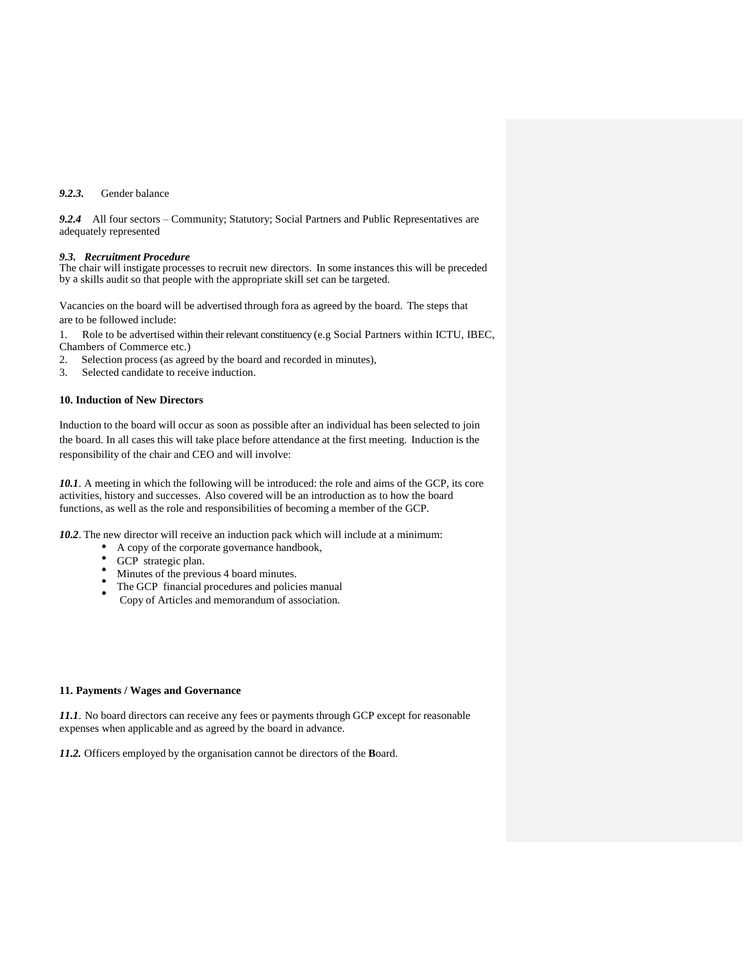# *9.2.3.* Gender balance

*9.2.4* All four sectors – Community; Statutory; Social Partners and Public Representatives are adequately represented

#### *9.3. Recruitment Procedure*

The chair will instigate processes to recruit new directors. In some instances this will be preceded by a skills audit so that people with the appropriate skill set can be targeted.

Vacancies on the board will be advertised through fora as agreed by the board. The steps that are to be followed include:

1. Role to be advertised within their relevant constituency (e.g Social Partners within ICTU, IBEC, Chambers of Commerce etc.)

- 2. Selection process (as agreed by the board and recorded in minutes),
- 3. Selected candidate to receive induction.

# **10. Induction of New Directors**

Induction to the board will occur as soon as possible after an individual has been selected to join the board. In all cases this will take place before attendance at the first meeting. Induction is the responsibility of the chair and CEO and will involve:

*10.1*. A meeting in which the following will be introduced: the role and aims of the GCP, its core activities, history and successes. Also covered will be an introduction as to how the board functions, as well as the role and responsibilities of becoming a member of the GCP.

*10.2*. The new director will receive an induction pack which will include at a minimum:

- A copy of the corporate governance handbook,
- GCP strategic plan.
- Minutes of the previous 4 board minutes.
- The GCP financial procedures and policies manual
- Copy of Articles and memorandum of association.

#### **11. Payments / Wages and Governance**

*11.1*. No board directors can receive any fees or payments through GCP except for reasonable expenses when applicable and as agreed by the board in advance.

*11.2.* Officers employed by the organisation cannot be directors of the **B**oard.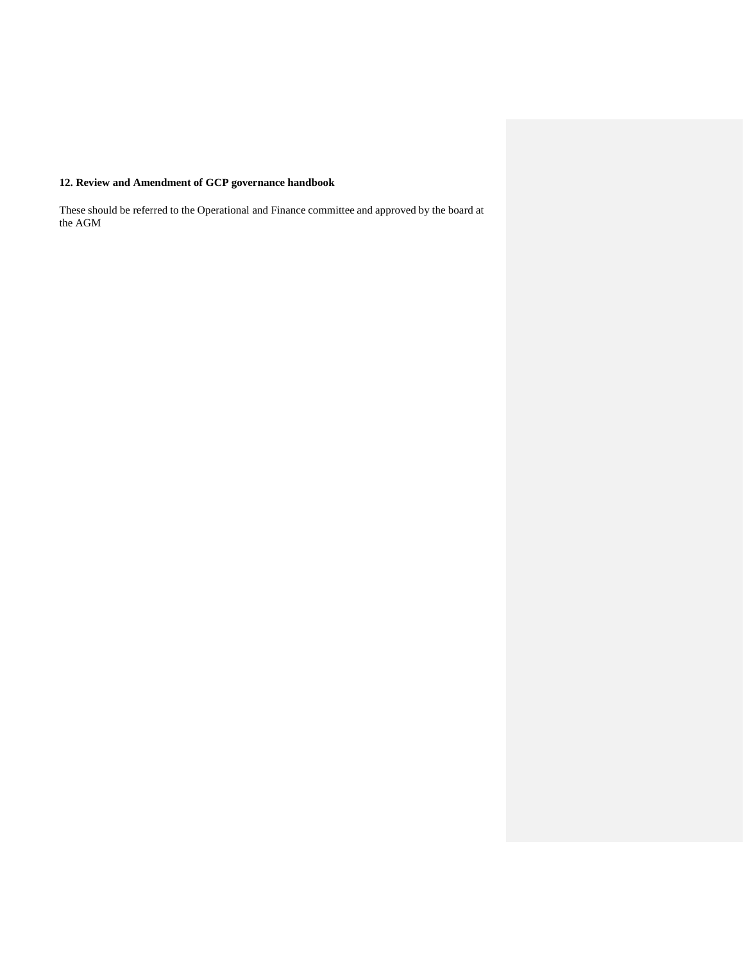# **12. Review and Amendment of GCP governance handbook**

These should be referred to the Operational and Finance committee and approved by the board at the AGM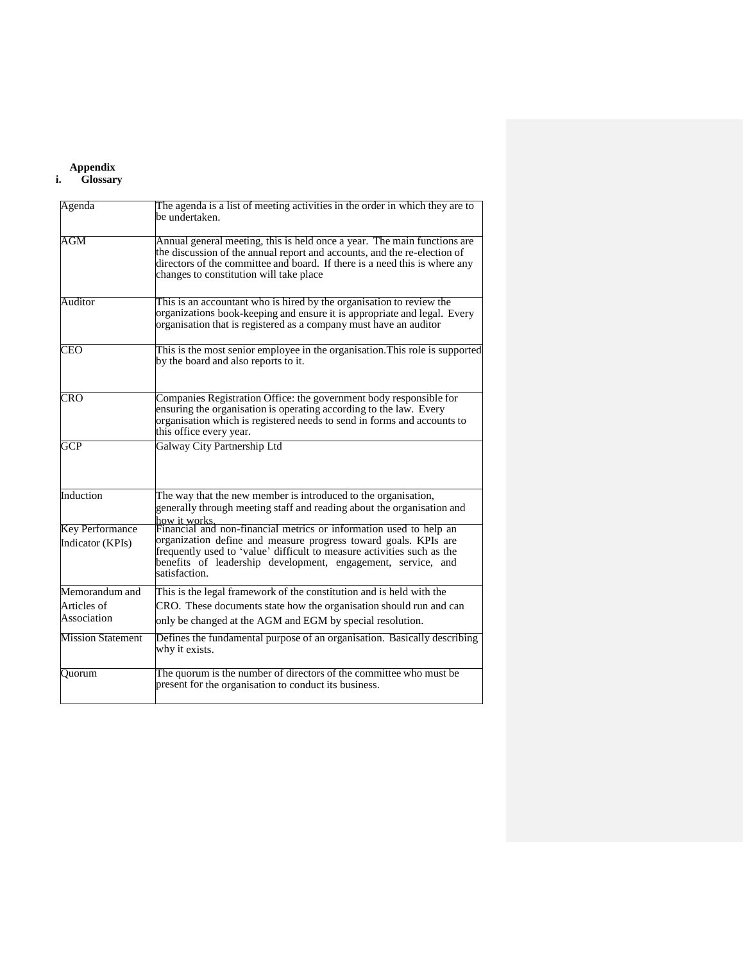# **Appendix**

# **i. Glossary**

| Agenda                                     | The agenda is a list of meeting activities in the order in which they are to<br>be undertaken.                                                                                                                                                                                                   |
|--------------------------------------------|--------------------------------------------------------------------------------------------------------------------------------------------------------------------------------------------------------------------------------------------------------------------------------------------------|
| AGM                                        | Annual general meeting, this is held once a year. The main functions are<br>the discussion of the annual report and accounts, and the re-election of<br>directors of the committee and board. If there is a need this is where any<br>changes to constitution will take place                    |
| Auditor                                    | This is an accountant who is hired by the organisation to review the<br>organizations book-keeping and ensure it is appropriate and legal. Every<br>organisation that is registered as a company must have an auditor                                                                            |
| <b>CEO</b>                                 | This is the most senior employee in the organisation. This role is supported<br>by the board and also reports to it.                                                                                                                                                                             |
| <b>CRO</b>                                 | Companies Registration Office: the government body responsible for<br>ensuring the organisation is operating according to the law. Every<br>organisation which is registered needs to send in forms and accounts to<br>this office every year.                                                   |
| GCP                                        | Galway City Partnership Ltd                                                                                                                                                                                                                                                                      |
| Induction                                  | The way that the new member is introduced to the organisation,<br>generally through meeting staff and reading about the organisation and<br>how it works.                                                                                                                                        |
| <b>Key Performance</b><br>Indicator (KPIs) | Financial and non-financial metrics or information used to help an<br>organization define and measure progress toward goals. KPIs are<br>frequently used to 'value' difficult to measure activities such as the<br>benefits of leadership development, engagement, service, and<br>satisfaction. |
| Memorandum and                             | This is the legal framework of the constitution and is held with the                                                                                                                                                                                                                             |
| Articles of                                | CRO. These documents state how the organisation should run and can                                                                                                                                                                                                                               |
| Association                                | only be changed at the AGM and EGM by special resolution.                                                                                                                                                                                                                                        |
| <b>Mission Statement</b>                   | Defines the fundamental purpose of an organisation. Basically describing<br>why it exists.                                                                                                                                                                                                       |
| Ouorum                                     | The quorum is the number of directors of the committee who must be<br>present for the organisation to conduct its business.                                                                                                                                                                      |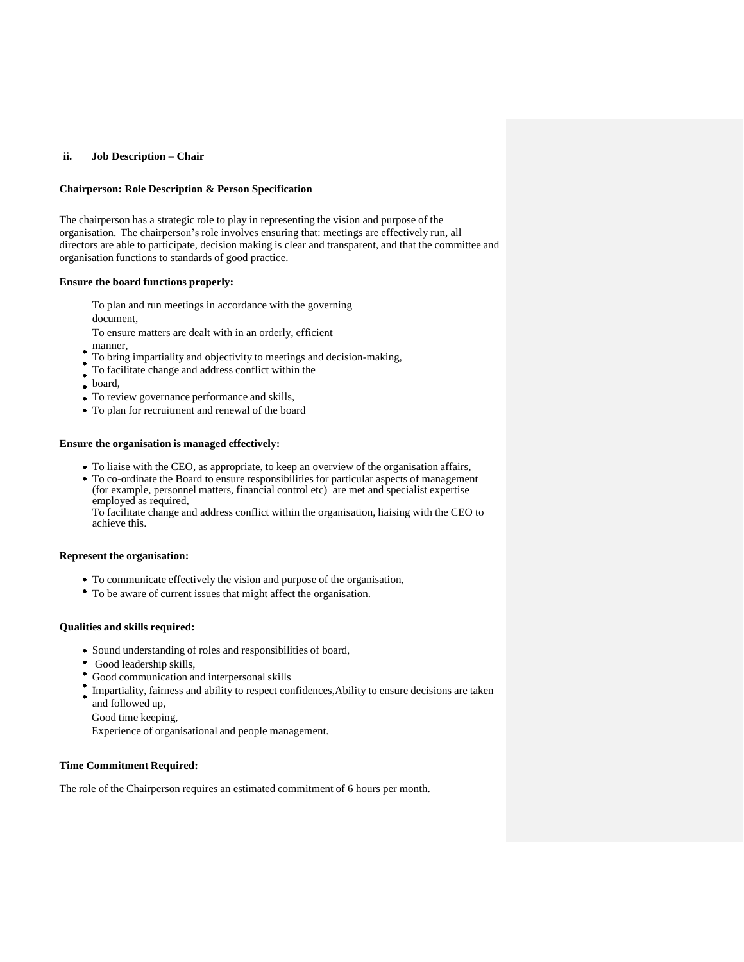## **ii. Job Description – Chair**

## **Chairperson: Role Description & Person Specification**

The chairperson has a strategic role to play in representing the vision and purpose of the organisation. The chairperson's role involves ensuring that: meetings are effectively run, all directors are able to participate, decision making is clear and transparent, and that the committee and organisation functions to standards of good practice.

# **Ensure the board functions properly:**

To plan and run meetings in accordance with the governing

document,

To ensure matters are dealt with in an orderly, efficient

- manner,  $\bullet$
- To bring impartiality and objectivity to meetings and decision-making,
- To facilitate change and address conflict within the
- board,
- To review governance performance and skills,
- To plan for recruitment and renewal of the board

# **Ensure the organisation is managed effectively:**

- To liaise with the CEO, as appropriate, to keep an overview of the organisation affairs,
- To co-ordinate the Board to ensure responsibilities for particular aspects of management (for example, personnel matters, financial control etc) are met and specialist expertise employed as required,

To facilitate change and address conflict within the organisation, liaising with the CEO to achieve this.

# **Represent the organisation:**

- To communicate effectively the vision and purpose of the organisation,
- To be aware of current issues that might affect the organisation.

## **Qualities and skills required:**

- Sound understanding of roles and responsibilities of board,
- Good leadership skills,
- Good communication and interpersonal skills
- Impartiality, fairness and ability to respect confidences, Ability to ensure decisions are taken and followed up,
	- Good time keeping,

Experience of organisational and people management.

## **Time Commitment Required:**

The role of the Chairperson requires an estimated commitment of 6 hours per month.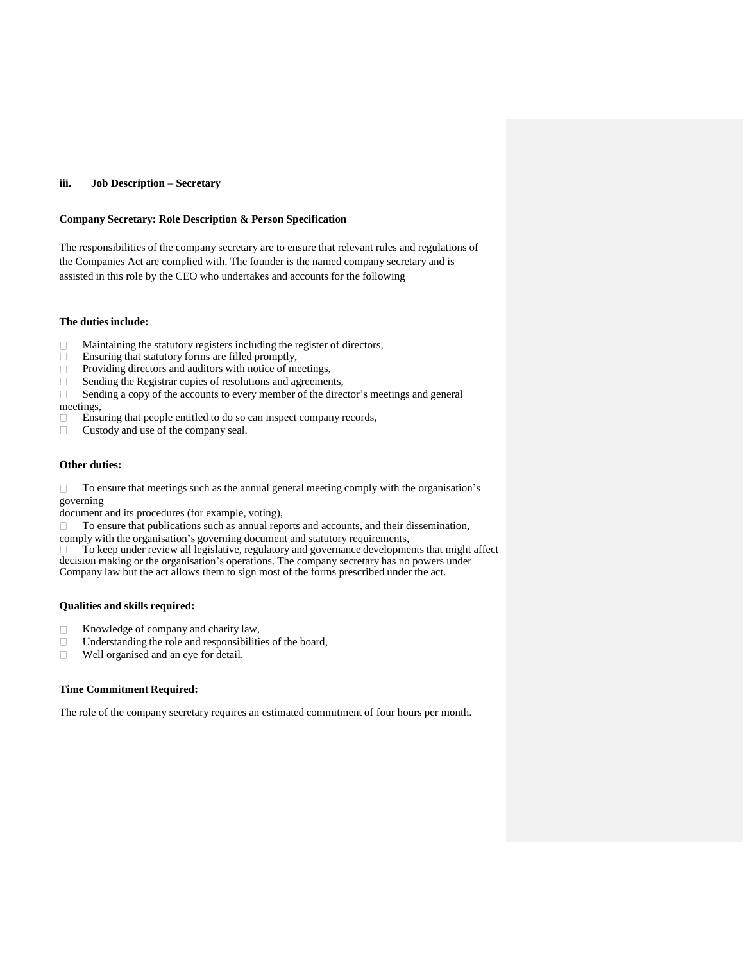## **iii. Job Description – Secretary**

## **Company Secretary: Role Description & Person Specification**

The responsibilities of the company secretary are to ensure that relevant rules and regulations of the Companies Act are complied with. The founder is the named company secretary and is assisted in this role by the CEO who undertakes and accounts for the following

# **The duties include:**

- Maintaining the statutory registers including the register of directors,
- $\Box$ Ensuring that statutory forms are filled promptly,
- $\Box$ Providing directors and auditors with notice of meetings,
- $\Box$ Sending the Registrar copies of resolutions and agreements,
- $\Box$ Sending a copy of the accounts to every member of the director's meetings and general meetings,
- Ensuring that people entitled to do so can inspect company records,  $\Box$
- Custody and use of the company seal.  $\Box$

# **Other duties:**

To ensure that meetings such as the annual general meeting comply with the organisation's  $\Box$ governing

document and its procedures (for example, voting),

To ensure that publications such as annual reports and accounts, and their dissemination,

comply with the organisation's governing document and statutory requirements,

To keep under review all legislative, regulatory and governance developments that might affect decision making or the organisation's operations. The company secretary has no powers under Company law but the act allows them to sign most of the forms prescribed under the act.

# **Qualities and skills required:**

- Knowledge of company and charity law,  $\Box$
- Understanding the role and responsibilities of the board,
- $\Box$ Well organised and an eye for detail.

# **Time Commitment Required:**

The role of the company secretary requires an estimated commitment of four hours per month.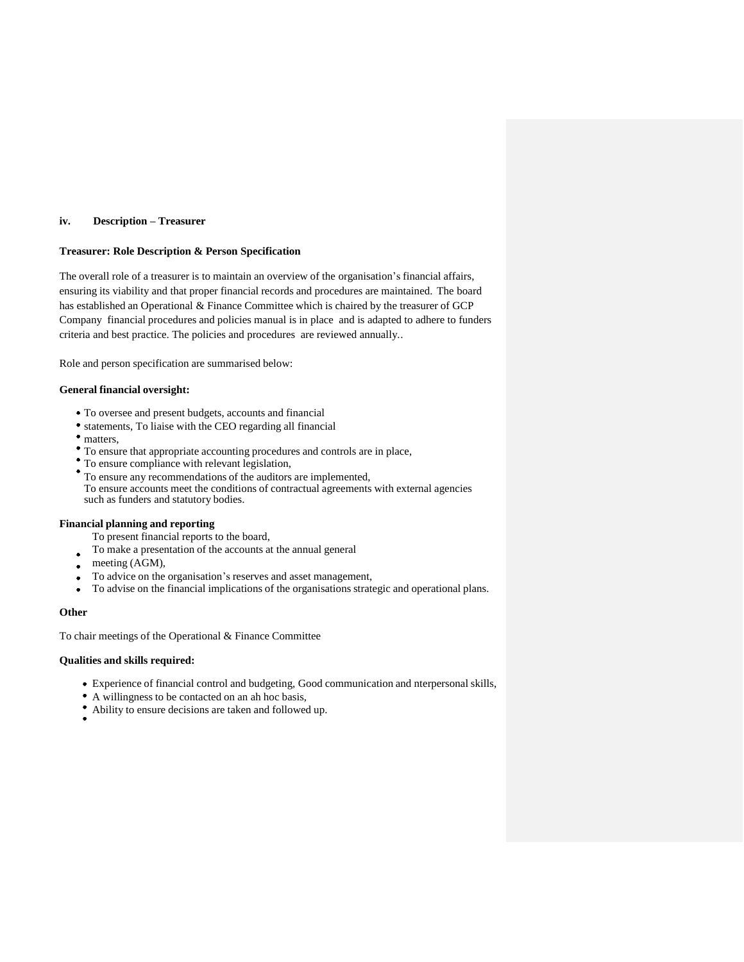# **iv. Description – Treasurer**

# **Treasurer: Role Description & Person Specification**

The overall role of a treasurer is to maintain an overview of the organisation's financial affairs, ensuring its viability and that proper financial records and procedures are maintained. The board has established an Operational & Finance Committee which is chaired by the treasurer of GCP Company financial procedures and policies manual is in place and is adapted to adhere to funders criteria and best practice. The policies and procedures are reviewed annually..

Role and person specification are summarised below:

## **General financial oversight:**

- To oversee and present budgets, accounts and financial
- statements, To liaise with the CEO regarding all financial
- matters,
- To ensure that appropriate accounting procedures and controls are in place,
- To ensure compliance with relevant legislation,
- To ensure any recommendations of the auditors are implemented,

To ensure accounts meet the conditions of contractual agreements with external agencies such as funders and statutory bodies.

## **Financial planning and reporting**

- To present financial reports to the board,
- To make a presentation of the accounts at the annual general
- meeting (AGM),  $\bullet$
- To advice on the organisation's reserves and asset management,
- To advise on the financial implications of the organisations strategic and operational plans.  $\bullet$

## **Other**

To chair meetings of the Operational & Finance Committee

#### **Qualities and skills required:**

- Experience of financial control and budgeting, Good communication and nterpersonal skills,
- A willingness to be contacted on an ah hoc basis,
- Ability to ensure decisions are taken and followed up.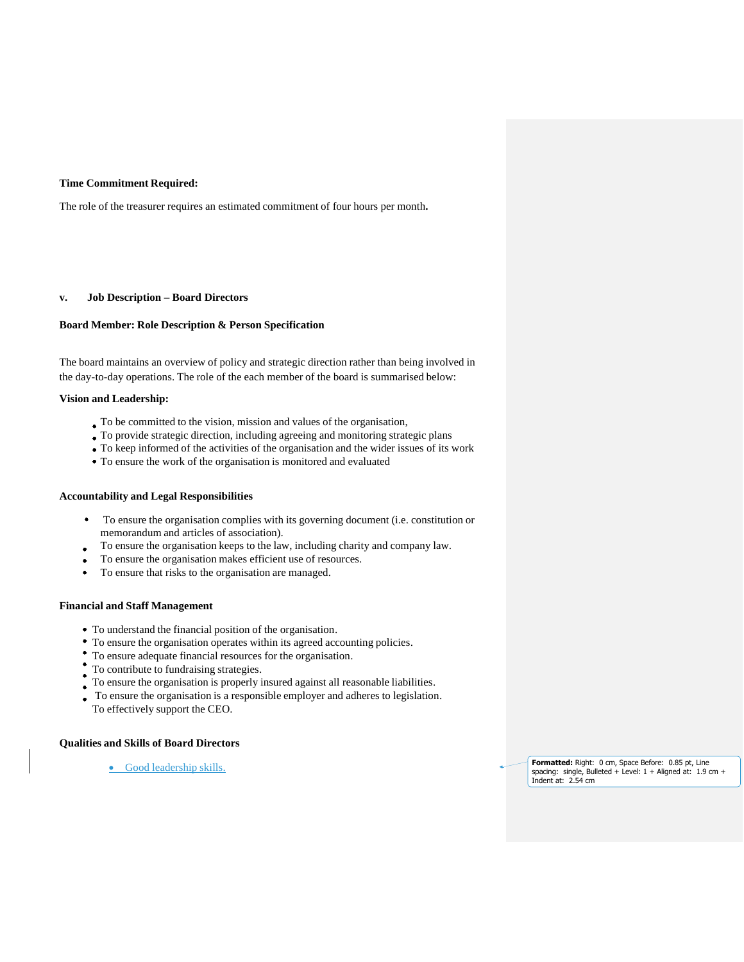## **Time Commitment Required:**

The role of the treasurer requires an estimated commitment of four hours per month**.**

#### **v. Job Description – Board Directors**

# **Board Member: Role Description & Person Specification**

The board maintains an overview of policy and strategic direction rather than being involved in the day-to-day operations. The role of the each member of the board is summarised below:

# **Vision and Leadership:**

- To be committed to the vision, mission and values of the organisation,
- To provide strategic direction, including agreeing and monitoring strategic plans
- To keep informed of the activities of the organisation and the wider issues of its work
- To ensure the work of the organisation is monitored and evaluated

#### **Accountability and Legal Responsibilities**

- $\bullet$  To ensure the organisation complies with its governing document (i.e. constitution or memorandum and articles of association).
- To ensure the organisation keeps to the law, including charity and company law.
- To ensure the organisation makes efficient use of resources.
- To ensure that risks to the organisation are managed.  $\bullet$

#### **Financial and Staff Management**

- To understand the financial position of the organisation.
- To ensure the organisation operates within its agreed accounting policies.
- To ensure adequate financial resources for the organisation.
- To contribute to fundraising strategies.
- To ensure the organisation is properly insured against all reasonable liabilities.
- To ensure the organisation is a responsible employer and adheres to legislation. To effectively support the CEO.

#### **Qualities and Skills of Board Directors**

• Good leadership skills.

**Formatted:** Right: 0 cm, Space Before: 0.85 pt, Line spacing: single, Bulleted + Level: 1 + Aligned at: 1.9 cm + Indent at: 2.54 cm